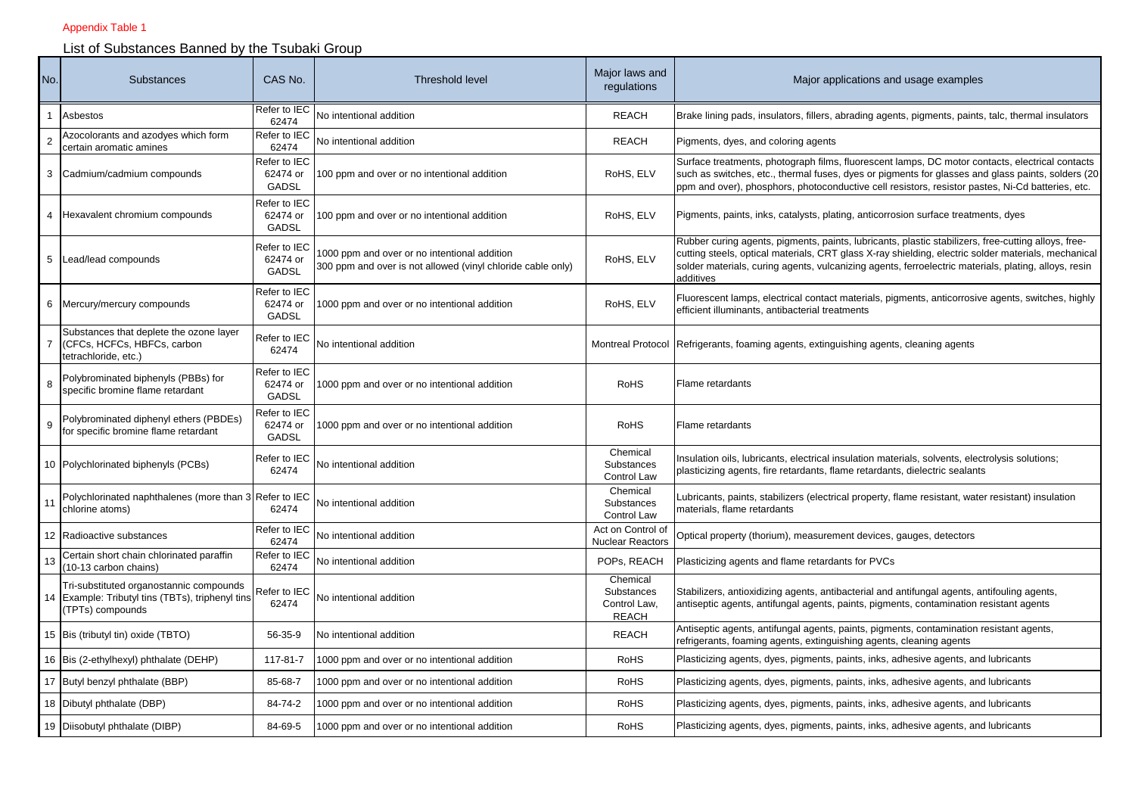## Appendix Table 1

## List of Substances Banned by the Tsubaki Group

| No. | Substances                                                                                                      | CAS No.                                  | <b>Threshold level</b>                                                                                      | Major laws and<br>regulations                          | Major applications and usage examples                                                                                                                                                                                                                                                                                           |
|-----|-----------------------------------------------------------------------------------------------------------------|------------------------------------------|-------------------------------------------------------------------------------------------------------------|--------------------------------------------------------|---------------------------------------------------------------------------------------------------------------------------------------------------------------------------------------------------------------------------------------------------------------------------------------------------------------------------------|
|     | Asbestos                                                                                                        | Refer to IEC<br>62474                    | No intentional addition                                                                                     | <b>REACH</b>                                           | Brake lining pads, insulators, fillers, abrading agents, pigments, paints, talc, thermal insulators                                                                                                                                                                                                                             |
|     | Azocolorants and azodyes which form<br>certain aromatic amines                                                  | Refer to IEC<br>62474                    | No intentional addition                                                                                     | <b>REACH</b>                                           | Pigments, dyes, and coloring agents                                                                                                                                                                                                                                                                                             |
| 3   | Cadmium/cadmium compounds                                                                                       | Refer to IEC<br>62474 or<br>GADSL        | 100 ppm and over or no intentional addition                                                                 | RoHS, ELV                                              | Surface treatments, photograph films, fluorescent lamps, DC motor contacts, electrical contacts<br>such as switches, etc., thermal fuses, dyes or pigments for glasses and glass paints, solders (20)<br>ppm and over), phosphors, photoconductive cell resistors, resistor pastes, Ni-Cd batteries, etc.                       |
| 4   | Hexavalent chromium compounds                                                                                   | Refer to IEC<br>62474 or<br><b>GADSL</b> | 100 ppm and over or no intentional addition                                                                 | RoHS, ELV                                              | Pigments, paints, inks, catalysts, plating, anticorrosion surface treatments, dyes                                                                                                                                                                                                                                              |
| 5   | Lead/lead compounds                                                                                             | Refer to IEC<br>62474 or<br>GADSL        | 1000 ppm and over or no intentional addition<br>300 ppm and over is not allowed (vinyl chloride cable only) | RoHS, ELV                                              | Rubber curing agents, pigments, paints, lubricants, plastic stabilizers, free-cutting alloys, free-<br>cutting steels, optical materials, CRT glass X-ray shielding, electric solder materials, mechanical<br>solder materials, curing agents, vulcanizing agents, ferroelectric materials, plating, alloys, resin<br>additives |
| 6   | Mercury/mercury compounds                                                                                       | Refer to IEC<br>62474 or<br><b>GADSL</b> | 1000 ppm and over or no intentional addition                                                                | RoHS, ELV                                              | Fluorescent lamps, electrical contact materials, pigments, anticorrosive agents, switches, highly<br>efficient illuminants, antibacterial treatments                                                                                                                                                                            |
|     | Substances that deplete the ozone layer<br>(CFCs, HCFCs, HBFCs, carbon<br>tetrachloride, etc.)                  | Refer to IEC<br>62474                    | No intentional addition                                                                                     |                                                        | Montreal Protocol Refrigerants, foaming agents, extinguishing agents, cleaning agents                                                                                                                                                                                                                                           |
| 8   | Polybrominated biphenyls (PBBs) for<br>specific bromine flame retardant                                         | Refer to IEC<br>62474 or<br><b>GADSL</b> | 1000 ppm and over or no intentional addition                                                                | <b>RoHS</b>                                            | Flame retardants                                                                                                                                                                                                                                                                                                                |
| 9   | Polybrominated diphenyl ethers (PBDEs)<br>for specific bromine flame retardant                                  | Refer to IEC<br>62474 or<br><b>GADSL</b> | 1000 ppm and over or no intentional addition                                                                | <b>RoHS</b>                                            | Flame retardants                                                                                                                                                                                                                                                                                                                |
|     | 10 Polychlorinated biphenyls (PCBs)                                                                             | Refer to IEC<br>62474                    | No intentional addition                                                                                     | Chemical<br>Substances<br>Control Law                  | Insulation oils, lubricants, electrical insulation materials, solvents, electrolysis solutions;<br>plasticizing agents, fire retardants, flame retardants, dielectric sealants                                                                                                                                                  |
|     | Polychlorinated naphthalenes (more than 3 Refer to IEC<br>chlorine atoms)                                       | 62474                                    | No intentional addition                                                                                     | Chemical<br>Substances<br>Control Law                  | Lubricants, paints, stabilizers (electrical property, flame resistant, water resistant) insulation<br>materials, flame retardants                                                                                                                                                                                               |
| 12  | Radioactive substances                                                                                          | Refer to IEC<br>62474                    | No intentional addition                                                                                     | Act on Control of<br><b>Nuclear Reactors</b>           | Optical property (thorium), measurement devices, gauges, detectors                                                                                                                                                                                                                                                              |
| 13  | Certain short chain chlorinated paraffin<br>(10-13 carbon chains)                                               | Refer to IEC<br>62474                    | No intentional addition                                                                                     | POPs, REACH                                            | Plasticizing agents and flame retardants for PVCs                                                                                                                                                                                                                                                                               |
|     | Tri-substituted organostannic compounds<br>14 Example: Tributyl tins (TBTs), triphenyl tins<br>(TPTs) compounds | Refer to IEC<br>62474                    | No intentional addition                                                                                     | Chemical<br>Substances<br>Control Law,<br><b>REACH</b> | Stabilizers, antioxidizing agents, antibacterial and antifungal agents, antifouling agents,<br>antiseptic agents, antifungal agents, paints, pigments, contamination resistant agents                                                                                                                                           |
|     | 15 Bis (tributyl tin) oxide (TBTO)                                                                              | 56-35-9                                  | No intentional addition                                                                                     | <b>REACH</b>                                           | Antiseptic agents, antifungal agents, paints, pigments, contamination resistant agents,<br>refrigerants, foaming agents, extinguishing agents, cleaning agents                                                                                                                                                                  |
| 16  | Bis (2-ethylhexyl) phthalate (DEHP)                                                                             | 117-81-7                                 | 1000 ppm and over or no intentional addition                                                                | <b>RoHS</b>                                            | Plasticizing agents, dyes, pigments, paints, inks, adhesive agents, and lubricants                                                                                                                                                                                                                                              |
|     | 17 Butyl benzyl phthalate (BBP)                                                                                 | 85-68-7                                  | 1000 ppm and over or no intentional addition                                                                | <b>RoHS</b>                                            | Plasticizing agents, dyes, pigments, paints, inks, adhesive agents, and lubricants                                                                                                                                                                                                                                              |
|     | 18 Dibutyl phthalate (DBP)                                                                                      | 84-74-2                                  | 1000 ppm and over or no intentional addition                                                                | <b>RoHS</b>                                            | Plasticizing agents, dyes, pigments, paints, inks, adhesive agents, and lubricants                                                                                                                                                                                                                                              |
|     | 19 Diisobutyl phthalate (DIBP)                                                                                  | 84-69-5                                  | 1000 ppm and over or no intentional addition                                                                | <b>RoHS</b>                                            | Plasticizing agents, dyes, pigments, paints, inks, adhesive agents, and lubricants                                                                                                                                                                                                                                              |